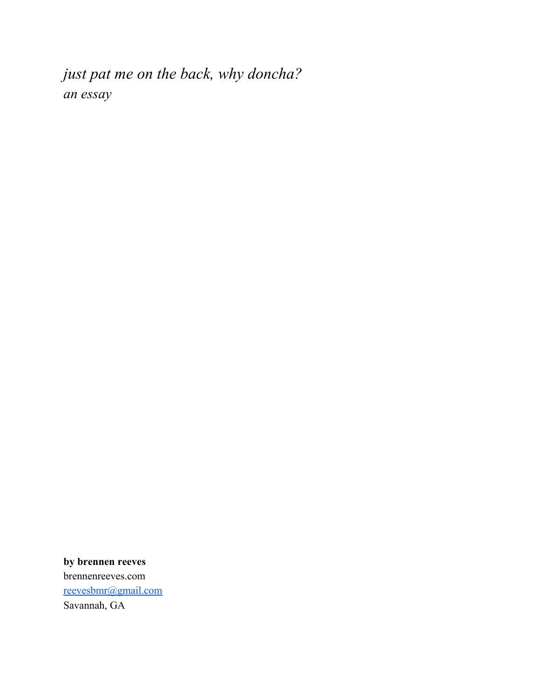*just pat me on the back, why doncha? an essay*

**by brennen reeves** brennenreeves.com [reevesbmr@gmail.com](mailto:reevesbmr@gmail.com) Savannah, GA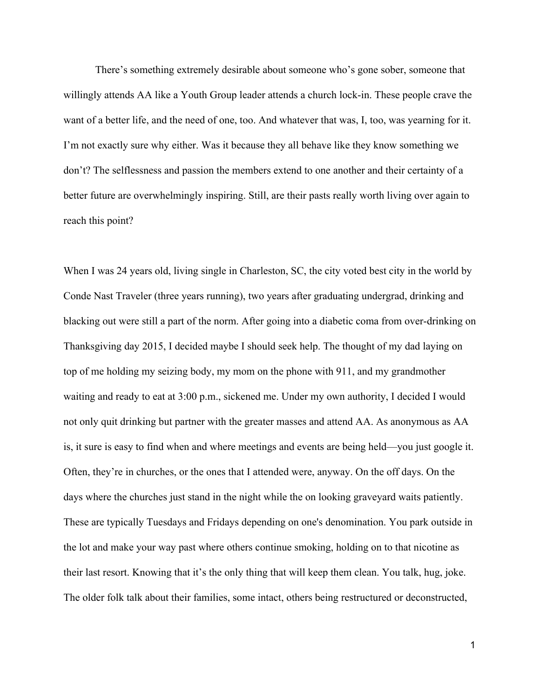There's something extremely desirable about someone who's gone sober, someone that willingly attends AA like a Youth Group leader attends a church lock-in. These people crave the want of a better life, and the need of one, too. And whatever that was, I, too, was yearning for it. I'm not exactly sure why either. Was it because they all behave like they know something we don't? The selflessness and passion the members extend to one another and their certainty of a better future are overwhelmingly inspiring. Still, are their pasts really worth living over again to reach this point?

When I was 24 years old, living single in Charleston, SC, the city voted best city in the world by Conde Nast Traveler (three years running), two years after graduating undergrad, drinking and blacking out were still a part of the norm. After going into a diabetic coma from over-drinking on Thanksgiving day 2015, I decided maybe I should seek help. The thought of my dad laying on top of me holding my seizing body, my mom on the phone with 911, and my grandmother waiting and ready to eat at 3:00 p.m., sickened me. Under my own authority, I decided I would not only quit drinking but partner with the greater masses and attend AA. As anonymous as AA is, it sure is easy to find when and where meetings and events are being held—you just google it. Often, they're in churches, or the ones that I attended were, anyway. On the off days. On the days where the churches just stand in the night while the on looking graveyard waits patiently. These are typically Tuesdays and Fridays depending on one's denomination. You park outside in the lot and make your way past where others continue smoking, holding on to that nicotine as their last resort. Knowing that it's the only thing that will keep them clean. You talk, hug, joke. The older folk talk about their families, some intact, others being restructured or deconstructed,

1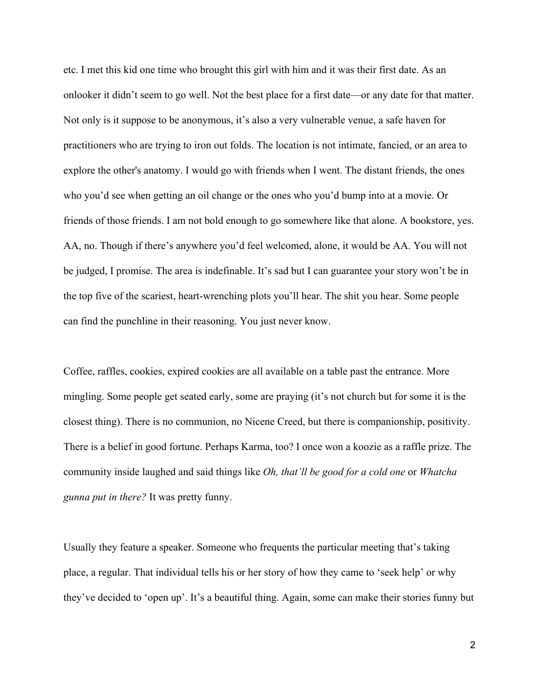etc. I met this kid one time who brought this girl with him and it was their first date. As an onlooker it didn't seem to go well. Not the best place for a first date—or any date for that matter. Not only is it suppose to be anonymous, it's also a very vulnerable venue, a safe haven for practitioners who are trying to iron out folds. The location is not intimate, fancied, or an area to explore the other's anatomy. I would go with friends when I went. The distant friends, the ones who you'd see when getting an oil change or the ones who you'd bump into at a movie. Or friends of those friends. I am not bold enough to go somewhere like that alone. A bookstore, yes. AA, no. Though if there's anywhere you'd feel welcomed, alone, it would be AA. You will not be judged, I promise. The area is indefinable. It's sad but I can guarantee your story won't be in the top five of the scariest, heart-wrenching plots you'll hear. The shit you hear. Some people can find the punchline in their reasoning. You just never know.

Coffee, raffles, cookies, expired cookies are all available on a table past the entrance. More mingling. Some people get seated early, some are praying (it's not church but for some it is the closest thing). There is no communion, no Nicene Creed, but there is companionship, positivity. There is a belief in good fortune. Perhaps Karma, too? I once won a koozie as a raffle prize. The community inside laughed and said things like *Oh, that'll be good for a cold one* or *Whatcha gunna put in there?* It was pretty funny.

Usually they feature a speaker. Someone who frequents the particular meeting that's taking place, a regular. That individual tells his or her story of how they came to 'seek help' or why they've decided to 'open up'. It's a beautiful thing. Again, some can make their stories funny but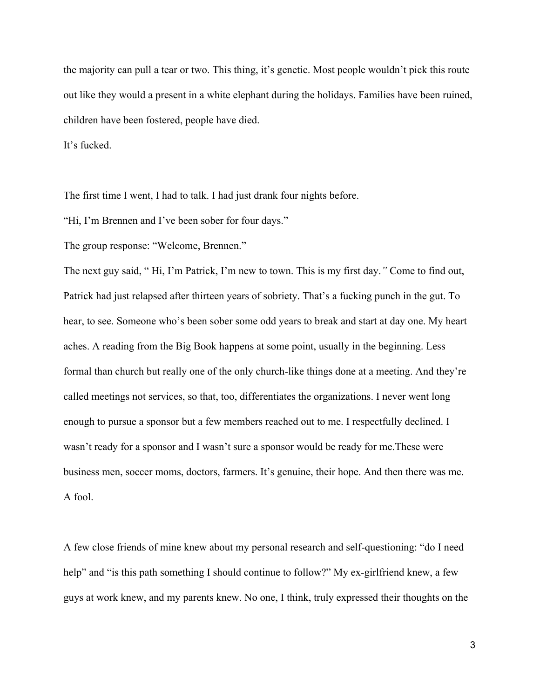the majority can pull a tear or two. This thing, it's genetic. Most people wouldn't pick this route out like they would a present in a white elephant during the holidays. Families have been ruined, children have been fostered, people have died.

It's fucked.

The first time I went, I had to talk. I had just drank four nights before.

"Hi, I'm Brennen and I've been sober for four days."

The group response: "Welcome, Brennen."

The next guy said, " Hi, I'm Patrick, I'm new to town. This is my first day.*"* Come to find out, Patrick had just relapsed after thirteen years of sobriety. That's a fucking punch in the gut. To hear, to see. Someone who's been sober some odd years to break and start at day one. My heart aches. A reading from the Big Book happens at some point, usually in the beginning. Less formal than church but really one of the only church-like things done at a meeting. And they're called meetings not services, so that, too, differentiates the organizations. I never went long enough to pursue a sponsor but a few members reached out to me. I respectfully declined. I wasn't ready for a sponsor and I wasn't sure a sponsor would be ready for me.These were business men, soccer moms, doctors, farmers. It's genuine, their hope. And then there was me. A fool.

A few close friends of mine knew about my personal research and self-questioning: "do I need help" and "is this path something I should continue to follow?" My ex-girlfriend knew, a few guys at work knew, and my parents knew. No one, I think, truly expressed their thoughts on the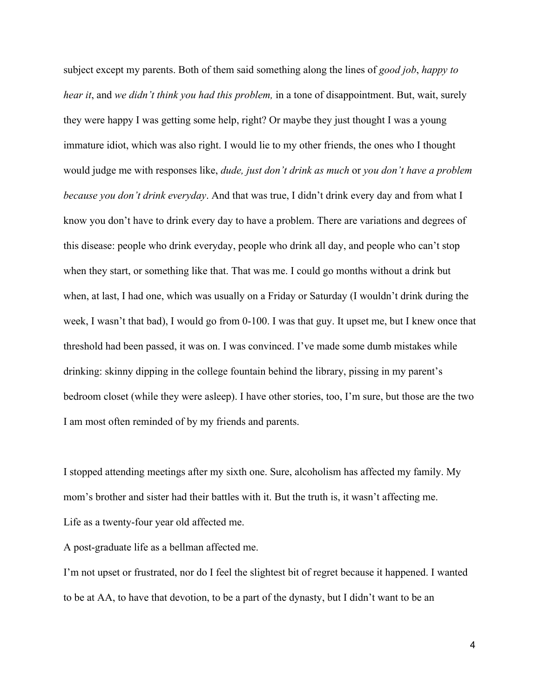subject except my parents. Both of them said something along the lines of *good job*, *happy to hear it*, and *we didn't think you had this problem,* in a tone of disappointment. But, wait, surely they were happy I was getting some help, right? Or maybe they just thought I was a young immature idiot, which was also right. I would lie to my other friends, the ones who I thought would judge me with responses like, *dude, just don't drink as much* or *you don't have a problem because you don't drink everyday*. And that was true, I didn't drink every day and from what I know you don't have to drink every day to have a problem. There are variations and degrees of this disease: people who drink everyday, people who drink all day, and people who can't stop when they start, or something like that. That was me. I could go months without a drink but when, at last, I had one, which was usually on a Friday or Saturday (I wouldn't drink during the week, I wasn't that bad), I would go from 0-100. I was that guy. It upset me, but I knew once that threshold had been passed, it was on. I was convinced. I've made some dumb mistakes while drinking: skinny dipping in the college fountain behind the library, pissing in my parent's bedroom closet (while they were asleep). I have other stories, too, I'm sure, but those are the two I am most often reminded of by my friends and parents.

I stopped attending meetings after my sixth one. Sure, alcoholism has affected my family. My mom's brother and sister had their battles with it. But the truth is, it wasn't affecting me. Life as a twenty-four year old affected me.

A post-graduate life as a bellman affected me.

I'm not upset or frustrated, nor do I feel the slightest bit of regret because it happened. I wanted to be at AA, to have that devotion, to be a part of the dynasty, but I didn't want to be an

4